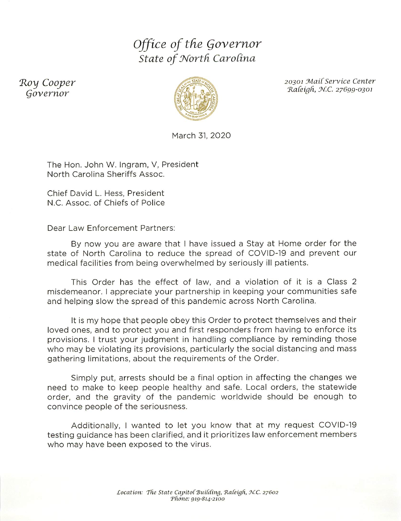## Office of the Governor State of North Carolina

Roy Cooper Governor



March 31, 2020

20301 Mail Service Center Raleigh, N.C. 27699-0301

The Hon. John W. Ingram, V. President North Carolina Sheriffs Assoc.

Chief David L. Hess, President N.C. Assoc. of Chiefs of Police

Dear Law Enforcement Partners:

By now you are aware that I have issued a Stay at Home order for the state of North Carolina to reduce the spread of COVID-19 and prevent our medical facilities from being overwhelmed by seriously ill patients.

This Order has the effect of law, and a violation of it is a Class 2 misdemeanor. I appreciate your partnership in keeping your communities safe and helping slow the spread of this pandemic across North Carolina.

It is my hope that people obey this Order to protect themselves and their loved ones, and to protect you and first responders from having to enforce its provisions. I trust your judgment in handling compliance by reminding those who may be violating its provisions, particularly the social distancing and mass gathering limitations, about the requirements of the Order.

Simply put, arrests should be a final option in affecting the changes we need to make to keep people healthy and safe. Local orders, the statewide order, and the gravity of the pandemic worldwide should be enough to convince people of the seriousness.

Additionally, I wanted to let you know that at my request COVID-19 testing guidance has been clarified, and it prioritizes law enforcement members who may have been exposed to the virus.